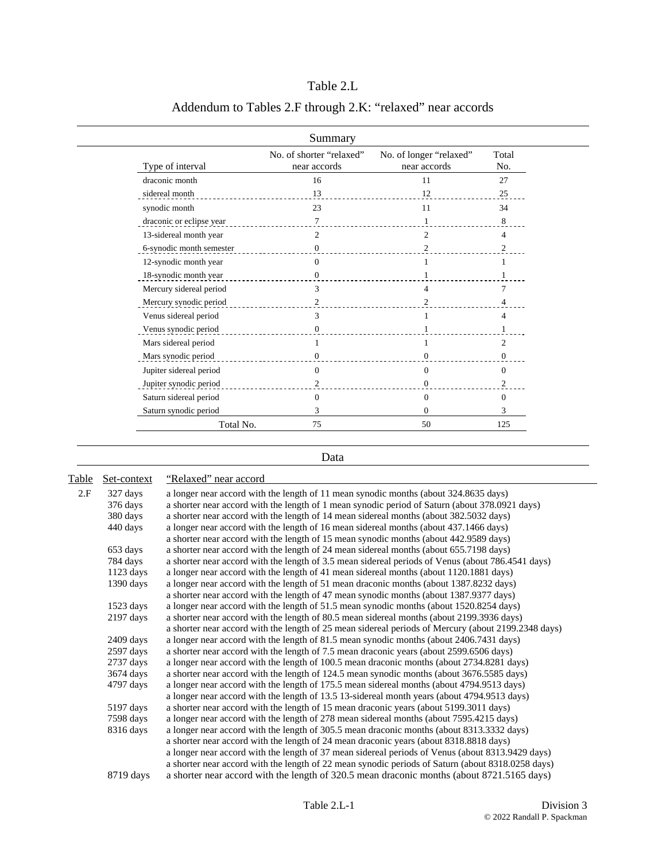|                          | Summary                                  |                                         |                |
|--------------------------|------------------------------------------|-----------------------------------------|----------------|
| Type of interval         | No. of shorter "relaxed"<br>near accords | No. of longer "relaxed"<br>near accords | Total<br>No.   |
| draconic month           | 16                                       | 11                                      | 27             |
| sidereal month           | 13                                       | 12                                      | 25             |
| synodic month            | 23                                       | 11                                      | 34             |
| draconic or eclipse year | 7                                        |                                         | 8              |
| 13-sidereal month year   | $\overline{c}$                           | $\mathfrak{D}$                          | $\overline{4}$ |
| 6-synodic month semester | $\mathbf{0}$                             | 2                                       |                |
| 12-synodic month year    | $\Omega$                                 |                                         |                |
| 18-synodic month year    | 0                                        |                                         |                |
| Mercury sidereal period  | 3                                        | 4                                       |                |
| Mercury synodic period   | 2                                        |                                         |                |
| Venus sidereal period    | 3                                        |                                         | $\overline{4}$ |
| Venus synodic period     | 0                                        |                                         |                |
| Mars sidereal period     |                                          |                                         | 2              |
| Mars synodic period      | 0                                        | 0                                       | 0              |
| Jupiter sidereal period  | $\Omega$                                 | $\Omega$                                | $\Omega$       |
| Jupiter synodic period   | 2                                        | $\theta$                                | 2              |
| Saturn sidereal period   | $\Omega$                                 | 0                                       | $\overline{0}$ |
| Saturn synodic period    | 3                                        | $\Omega$                                | 3              |
| Total No.                | 75                                       | 50                                      | 125            |

## Table 2.L

## Addendum to Tables 2.F through 2.K: "relaxed" near accords

## Data

| Table | Set-context                                                                                      | "Relaxed" near accord                                                                               |  |
|-------|--------------------------------------------------------------------------------------------------|-----------------------------------------------------------------------------------------------------|--|
| 2.F   | a longer near accord with the length of 11 mean synodic months (about 324.8635 days)<br>327 days |                                                                                                     |  |
|       | 376 days                                                                                         | a shorter near accord with the length of 1 mean synodic period of Saturn (about 378.0921 days)      |  |
|       | 380 days                                                                                         | a shorter near accord with the length of 14 mean sidereal months (about 382.5032 days)              |  |
|       | 440 days                                                                                         | a longer near accord with the length of 16 mean sidereal months (about 437.1466 days)               |  |
|       | a shorter near accord with the length of 15 mean synodic months (about 442.9589 days)            |                                                                                                     |  |
|       | 653 days                                                                                         | a shorter near accord with the length of 24 mean sidereal months (about 655.7198 days)              |  |
|       | 784 days                                                                                         | a shorter near accord with the length of 3.5 mean sidereal periods of Venus (about 786.4541 days)   |  |
|       | $1123$ days                                                                                      | a longer near accord with the length of 41 mean sidereal months (about 1120.1881 days)              |  |
|       | $1390$ days                                                                                      | a longer near accord with the length of 51 mean draconic months (about 1387.8232 days)              |  |
|       |                                                                                                  | a shorter near accord with the length of 47 mean synodic months (about 1387.9377 days)              |  |
|       | $1523$ days                                                                                      | a longer near accord with the length of 51.5 mean synodic months (about 1520.8254 days)             |  |
|       | $2197$ days                                                                                      | a shorter near accord with the length of 80.5 mean sidereal months (about 2199.3936 days)           |  |
|       |                                                                                                  | a shorter near accord with the length of 25 mean sidereal periods of Mercury (about 2199.2348 days) |  |
|       | $2409$ days                                                                                      | a longer near accord with the length of 81.5 mean synodic months (about 2406.7431 days)             |  |
|       | $2597$ days                                                                                      | a shorter near accord with the length of 7.5 mean draconic years (about 2599.6506 days)             |  |
|       | $2737$ days                                                                                      | a longer near accord with the length of 100.5 mean draconic months (about 2734.8281 days)           |  |
|       | 3674 days                                                                                        | a shorter near accord with the length of 124.5 mean synodic months (about 3676.5585 days)           |  |
|       | 4797 days                                                                                        | a longer near accord with the length of 175.5 mean sidereal months (about 4794.9513 days)           |  |
|       |                                                                                                  | a longer near accord with the length of 13.5 13-sidereal month years (about 4794.9513 days)         |  |
|       | 5197 days                                                                                        | a shorter near accord with the length of 15 mean draconic years (about 5199.3011 days)              |  |
|       | 7598 days                                                                                        | a longer near accord with the length of 278 mean sidereal months (about 7595.4215 days)             |  |
|       | 8316 days                                                                                        | a longer near accord with the length of 305.5 mean draconic months (about 8313.3332 days)           |  |
|       |                                                                                                  | a shorter near accord with the length of 24 mean draconic years (about 8318.8818 days)              |  |
|       |                                                                                                  | a longer near accord with the length of 37 mean sidereal periods of Venus (about 8313.9429 days)    |  |
|       |                                                                                                  | a shorter near accord with the length of 22 mean synodic periods of Saturn (about 8318.0258 days)   |  |
|       | 8719 days                                                                                        | a shorter near accord with the length of 320.5 mean draconic months (about 8721.5165 days)          |  |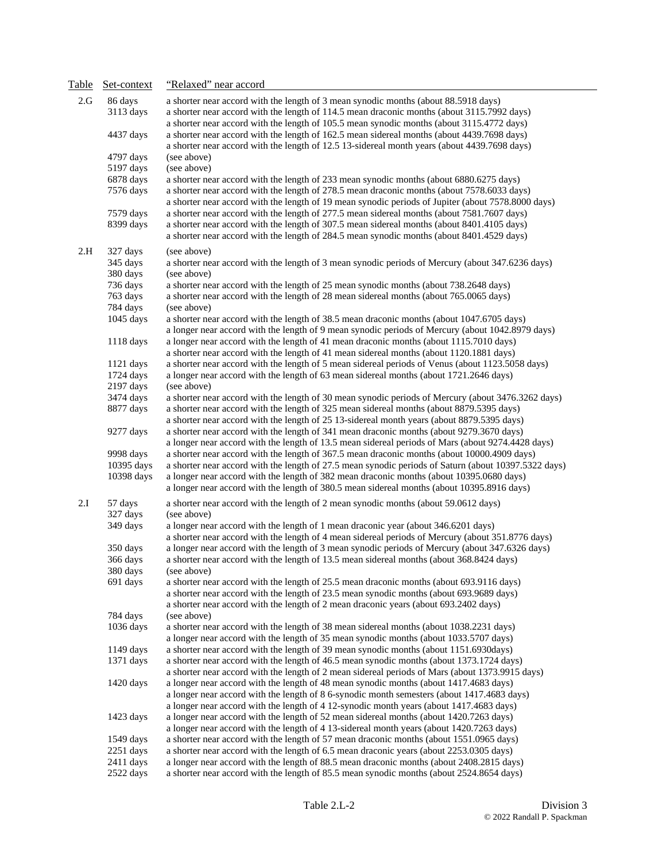| Table | Set-context                | "Relaxed" near accord                                                                                                                                                                      |
|-------|----------------------------|--------------------------------------------------------------------------------------------------------------------------------------------------------------------------------------------|
| 2.G   | 86 days                    | a shorter near accord with the length of 3 mean synodic months (about 88.5918 days)                                                                                                        |
|       | 3113 days                  | a shorter near accord with the length of 114.5 mean draconic months (about 3115.7992 days)<br>a shorter near accord with the length of 105.5 mean synodic months (about 3115.4772 days)    |
|       | 4437 days                  | a shorter near accord with the length of 162.5 mean sidereal months (about 4439.7698 days)<br>a shorter near accord with the length of 12.5 13-sidereal month years (about 4439.7698 days) |
|       | 4797 days                  | (see above)                                                                                                                                                                                |
|       | 5197 days                  | (see above)                                                                                                                                                                                |
|       | 6878 days                  | a shorter near accord with the length of 233 mean synodic months (about 6880.6275 days)                                                                                                    |
|       | 7576 days                  | a shorter near accord with the length of 278.5 mean draconic months (about 7578.6033 days)                                                                                                 |
|       |                            | a shorter near accord with the length of 19 mean synodic periods of Jupiter (about 7578.8000 days)                                                                                         |
|       | 7579 days                  | a shorter near accord with the length of 277.5 mean sidereal months (about 7581.7607 days)                                                                                                 |
|       | 8399 days                  | a shorter near accord with the length of 307.5 mean sidereal months (about 8401.4105 days)<br>a shorter near accord with the length of 284.5 mean synodic months (about 8401.4529 days)    |
| 2.H   | 327 days                   | (see above)                                                                                                                                                                                |
|       | 345 days                   | a shorter near accord with the length of 3 mean synodic periods of Mercury (about 347.6236 days)                                                                                           |
|       | 380 days                   | (see above)                                                                                                                                                                                |
|       | 736 days                   | a shorter near accord with the length of 25 mean synodic months (about 738.2648 days)                                                                                                      |
|       | 763 days                   | a shorter near accord with the length of 28 mean sidereal months (about 765.0065 days)                                                                                                     |
|       | 784 days                   | (see above)                                                                                                                                                                                |
|       | 1045 days                  | a shorter near accord with the length of 38.5 mean draconic months (about 1047.6705 days)                                                                                                  |
|       |                            | a longer near accord with the length of 9 mean synodic periods of Mercury (about 1042.8979 days)                                                                                           |
|       | 1118 days                  | a longer near accord with the length of 41 mean draconic months (about 1115.7010 days)<br>a shorter near accord with the length of 41 mean sidereal months (about 1120.1881 days)          |
|       | 1121 days                  | a shorter near accord with the length of 5 mean sidereal periods of Venus (about 1123.5058 days)                                                                                           |
|       | 1724 days                  | a longer near accord with the length of 63 mean sidereal months (about 1721.2646 days)                                                                                                     |
|       | 2197 days                  | (see above)                                                                                                                                                                                |
|       | 3474 days                  | a shorter near accord with the length of 30 mean synodic periods of Mercury (about 3476.3262 days)                                                                                         |
|       | 8877 days                  | a shorter near accord with the length of 325 mean sidereal months (about 8879.5395 days)                                                                                                   |
|       |                            | a shorter near accord with the length of 25 13-sidereal month years (about 8879.5395 days)                                                                                                 |
|       | 9277 days                  | a shorter near accord with the length of 341 mean draconic months (about 9279.3670 days)                                                                                                   |
|       |                            | a longer near accord with the length of 13.5 mean sidereal periods of Mars (about 9274.4428 days)                                                                                          |
|       | 9998 days                  | a shorter near accord with the length of 367.5 mean draconic months (about 10000.4909 days)                                                                                                |
|       | 10395 days                 | a shorter near accord with the length of 27.5 mean synodic periods of Saturn (about 10397.5322 days)                                                                                       |
|       | 10398 days                 | a longer near accord with the length of 382 mean draconic months (about 10395.0680 days)<br>a longer near accord with the length of 380.5 mean sidereal months (about 10395.8916 days)     |
| 2.I   | 57 days<br>327 days        | a shorter near accord with the length of 2 mean synodic months (about 59.0612 days)<br>(see above)                                                                                         |
|       | 349 days                   | a longer near accord with the length of 1 mean draconic year (about 346.6201 days)                                                                                                         |
|       |                            | a shorter near accord with the length of 4 mean sidereal periods of Mercury (about 351.8776 days)                                                                                          |
|       | 350 days                   | a longer near accord with the length of 3 mean synodic periods of Mercury (about 347.6326 days)                                                                                            |
|       | 366 days                   | a shorter near accord with the length of 13.5 mean sidereal months (about 368.8424 days)                                                                                                   |
|       | 380 days<br>691 days       | (see above)<br>a shorter near accord with the length of 25.5 mean draconic months (about 693.9116 days)                                                                                    |
|       |                            | a shorter near accord with the length of 23.5 mean synodic months (about 693.9689 days)                                                                                                    |
|       |                            | a shorter near accord with the length of 2 mean draconic years (about 693.2402 days)                                                                                                       |
|       | 784 days                   | (see above)                                                                                                                                                                                |
|       | 1036 days                  | a shorter near accord with the length of 38 mean sidereal months (about 1038.2231 days)                                                                                                    |
|       |                            | a longer near accord with the length of 35 mean synodic months (about 1033.5707 days)                                                                                                      |
|       | 1149 days                  | a shorter near accord with the length of 39 mean synodic months (about 1151.6930days)                                                                                                      |
|       | 1371 days                  | a shorter near accord with the length of 46.5 mean synodic months (about 1373.1724 days)                                                                                                   |
|       |                            | a shorter near accord with the length of 2 mean sidereal periods of Mars (about 1373.9915 days)                                                                                            |
|       | 1420 days                  | a longer near accord with the length of 48 mean synodic months (about 1417.4683 days)                                                                                                      |
|       |                            | a longer near accord with the length of 8 6-synodic month semesters (about 1417.4683 days)                                                                                                 |
|       |                            | a longer near accord with the length of 4 12-synodic month years (about 1417.4683 days)                                                                                                    |
|       | 1423 days                  | a longer near accord with the length of 52 mean sidereal months (about 1420.7263 days)                                                                                                     |
|       |                            | a longer near accord with the length of 4 13-sidereal month years (about 1420.7263 days)                                                                                                   |
|       | $1549$ days<br>$2251$ days | a shorter near accord with the length of 57 mean draconic months (about 1551.0965 days)<br>a shorter near accord with the length of 6.5 mean draconic years (about 2253.0305 days)         |
|       | 2411 days                  | a longer near accord with the length of 88.5 mean draconic months (about 2408.2815 days)                                                                                                   |
|       | 2522 days                  | a shorter near accord with the length of 85.5 mean synodic months (about 2524.8654 days)                                                                                                   |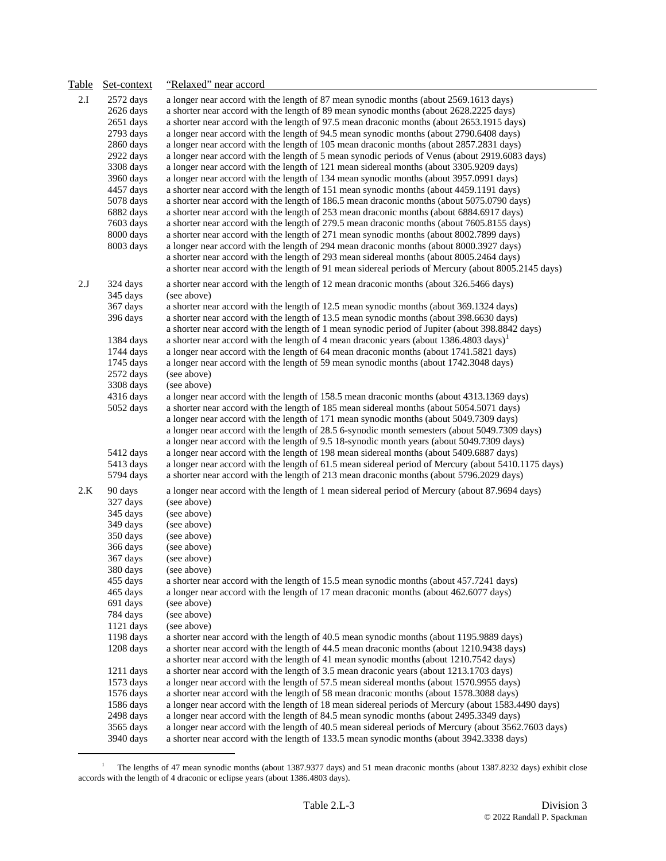| Table | Set-context                                                                                                                                                                                                                                                                     | "Relaxed" near accord                                                                                                                                                                                                                                                                                                                                                                                                                                                                                                                                                                                                                                                                                                                                                                                                                                                                                                                                                                                                                                                                                                                                                                                                                                                                                                                                                                                                                                                                                                                 |
|-------|---------------------------------------------------------------------------------------------------------------------------------------------------------------------------------------------------------------------------------------------------------------------------------|---------------------------------------------------------------------------------------------------------------------------------------------------------------------------------------------------------------------------------------------------------------------------------------------------------------------------------------------------------------------------------------------------------------------------------------------------------------------------------------------------------------------------------------------------------------------------------------------------------------------------------------------------------------------------------------------------------------------------------------------------------------------------------------------------------------------------------------------------------------------------------------------------------------------------------------------------------------------------------------------------------------------------------------------------------------------------------------------------------------------------------------------------------------------------------------------------------------------------------------------------------------------------------------------------------------------------------------------------------------------------------------------------------------------------------------------------------------------------------------------------------------------------------------|
| 2.I   | $2572$ days<br>2626 days<br>2651 days<br>2793 days<br>2860 days<br>2922 days<br>3308 days<br>3960 days<br>4457 days<br>5078 days<br>6882 days<br>7603 days<br>8000 days<br>8003 days                                                                                            | a longer near accord with the length of 87 mean synodic months (about 2569.1613 days)<br>a shorter near accord with the length of 89 mean synodic months (about 2628.2225 days)<br>a shorter near accord with the length of 97.5 mean draconic months (about 2653.1915 days)<br>a longer near accord with the length of 94.5 mean synodic months (about 2790.6408 days)<br>a longer near accord with the length of 105 mean draconic months (about 2857.2831 days)<br>a longer near accord with the length of 5 mean synodic periods of Venus (about 2919.6083 days)<br>a longer near accord with the length of 121 mean sidereal months (about 3305.9209 days)<br>a longer near accord with the length of 134 mean synodic months (about 3957.0991 days)<br>a shorter near accord with the length of 151 mean synodic months (about 4459.1191 days)<br>a shorter near accord with the length of 186.5 mean draconic months (about 5075.0790 days)<br>a shorter near accord with the length of 253 mean draconic months (about 6884.6917 days)<br>a shorter near accord with the length of 279.5 mean draconic months (about 7605.8155 days)<br>a shorter near accord with the length of 271 mean synodic months (about 8002.7899 days)<br>a longer near accord with the length of 294 mean draconic months (about 8000.3927 days)<br>a shorter near accord with the length of 293 mean sidereal months (about 8005.2464 days)<br>a shorter near accord with the length of 91 mean sidereal periods of Mercury (about 8005.2145 days) |
| 2.J   | 324 days<br>345 days<br>367 days<br>396 days<br>1384 days<br>1744 days<br>1745 days<br>2572 days<br>3308 days<br>4316 days<br>5052 days<br>5412 days<br>5413 days<br>5794 days                                                                                                  | a shorter near accord with the length of 12 mean draconic months (about 326.5466 days)<br>(see above)<br>a shorter near accord with the length of 12.5 mean synodic months (about 369.1324 days)<br>a shorter near accord with the length of 13.5 mean synodic months (about 398.6630 days)<br>a shorter near accord with the length of 1 mean synodic period of Jupiter (about 398.8842 days)<br>a shorter near accord with the length of 4 mean draconic years (about 1386.4803 days) <sup>1</sup><br>a longer near accord with the length of 64 mean draconic months (about 1741.5821 days)<br>a longer near accord with the length of 59 mean synodic months (about 1742.3048 days)<br>(see above)<br>(see above)<br>a longer near accord with the length of 158.5 mean draconic months (about 4313.1369 days)<br>a shorter near accord with the length of 185 mean sidereal months (about 5054.5071 days)<br>a longer near accord with the length of 171 mean synodic months (about 5049.7309 days)<br>a longer near accord with the length of 28.5 6-synodic month semesters (about 5049.7309 days)<br>a longer near accord with the length of 9.5 18-synodic month years (about 5049.7309 days)<br>a longer near accord with the length of 198 mean sidereal months (about 5409.6887 days)<br>a longer near accord with the length of 61.5 mean sidereal period of Mercury (about 5410.1175 days)<br>a shorter near accord with the length of 213 mean draconic months (about 5796.2029 days)                                  |
| 2.K   | 90 days<br>327 days<br>345 days<br>349 days<br>350 days<br>366 days<br>367 days<br>380 days<br>455 days<br>465 days<br>691 days<br>784 days<br>1121 days<br>1198 days<br>1208 days<br>$1211$ days<br>1573 days<br>1576 days<br>1586 days<br>2498 days<br>3565 days<br>3940 days | a longer near accord with the length of 1 mean sidereal period of Mercury (about 87.9694 days)<br>(see above)<br>(see above)<br>(see above)<br>(see above)<br>(see above)<br>(see above)<br>(see above)<br>a shorter near accord with the length of 15.5 mean synodic months (about 457.7241 days)<br>a longer near accord with the length of 17 mean draconic months (about 462.6077 days)<br>(see above)<br>(see above)<br>(see above)<br>a shorter near accord with the length of 40.5 mean synodic months (about 1195.9889 days)<br>a shorter near accord with the length of 44.5 mean draconic months (about 1210.9438 days)<br>a shorter near accord with the length of 41 mean synodic months (about 1210.7542 days)<br>a shorter near accord with the length of 3.5 mean draconic years (about 1213.1703 days)<br>a longer near accord with the length of 57.5 mean sidereal months (about 1570.9955 days)<br>a shorter near accord with the length of 58 mean draconic months (about 1578.3088 days)<br>a longer near accord with the length of 18 mean sidereal periods of Mercury (about 1583.4490 days)<br>a longer near accord with the length of 84.5 mean synodic months (about 2495.3349 days)<br>a longer near accord with the length of 40.5 mean sidereal periods of Mercury (about 3562.7603 days)<br>a shorter near accord with the length of 133.5 mean synodic months (about 3942.3338 days)                                                                                                                   |

<span id="page-2-0"></span><sup>&</sup>lt;sup>1</sup> The lengths of 47 mean synodic months (about 1387.9377 days) and 51 mean draconic months (about 1387.8232 days) exhibit close accords with the length of 4 draconic or eclipse years (about 1386.4803 days).